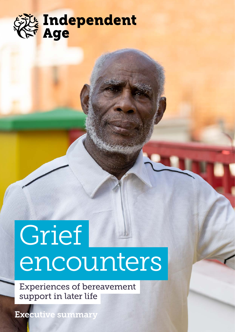

# Grief encounters

Experiences of bereavement support in later life

Executive summary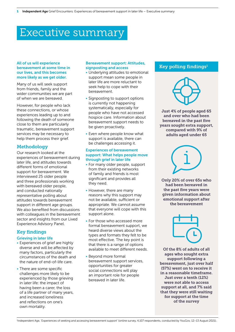# Executive summary

## All of us will experience bereavement at some time in our lives, and this becomes more likely as we get older.

Many of us will seek support from friends, family and the wider communities we are part of when we are bereaved.

However, for people who lack these connections, or whose experiences leading up to and following the death of someone close to them are particularly traumatic, bereavement support services may be necessary to help them process their grief.

# **Methodology**

Our research looked at the experiences of bereavement during later life, and attitudes towards different forms of emotional support for bereavement. We interviewed 25 older people and three professionals working with bereaved older people, and conducted nationally representative polling about attitudes towards bereavement support in different age groups. We also benefited from discussions with colleagues in the bereavement sector and insights from our Lived Experience Advisory Panel.

# Key findings

# Grieving in later life

- Experiences of grief are highly diverse and will be affected by many factors, particularly the circumstances of the death and the nature of end-of-life care.
- There are some specific challenges more likely to be experienced by those grieving in later life: the impact of having been a carer, the loss of a life partner of many years, and increased loneliness and reflections on one's own mortality.

### Bereavement support: Attitudes, signposting and access

- Underlying attitudes to emotional support mean some people in later life are more reluctant to seek help to cope with their bereavement.
- Signposting to support options is currently not happening systematically, especially for people who have not accessed hospice care. Information about bereavement support needs to be given proactively.
- Even where people know what support is available, there can be challenges accessing it.

#### Experiences of bereavement support: What helps people move through grief in later life

- For many older people, support from their existing networks of family and friends is most significant and provides all they need.
- However, there are many reasons why this support may not be available, sufficient or appropriate. We cannot assume that everyone will cope with this support alone.
- For those who accessed more formal bereavement support, we heard diverse views about the types and formats they felt to be most effective. The key point is that there is a range of options available to meet different needs.
- Beyond more formal bereavement support services, opportunities for greater social connections will play an important role for people bereaved in later life.

# Key polling findings<sup>1</sup>



Just 4% of people aged 65 and over who had been bereaved in the past five years sought extra support, compared with 9% of adults aged under 65

Only 20% of over 65s who had been bereaved in the past five years were given information about emotional support after the bereavement

Of the 8% of adults of all ages who sought extra support following a bereavement, just over half (57%) went on to receive it in a reasonable timeframe. Just over a tenth (12%) were not able to access support at all, and 7% said that they were still waiting for support at the time of the survey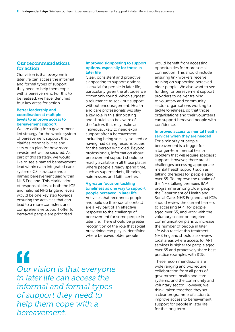# Our recommendations for action

Our vision is that everyone in later life can access the informal and formal types of support they need to help them cope with a bereavement. For this to be realised, we have identified four key areas for action.

#### Better leadership and coordination at multiple levels to improve access to bereavement support

We are calling for a governmentled strategy for the whole system of bereavement support that clarifies responsibilities and sets out a plan for how more investment will be secured. As part of this strategy, we would like to see a named bereavement lead within each integrated care system (ICS) structure and a named bereavement lead within NHS England. This clarification of responsibilities at both the ICS and national NHS England levels would be one key step towards ensuring the activities that can lead to a more consistent and comprehensive support offer for bereaved people are prioritised.

#### Improved signposting to support options, especially for those in later life

Clear, consistent and proactive signposting to support options is crucial for people in later life, particularly given the attitudes we commonly found, which suggest a reluctance to seek out support without encouragement. Health and care professionals will play a key role in this signposting and should also be aware of the factors that may make an individual likely to need extra support after a bereavement, including being socially isolated or having had caring responsibilities for the person who died. Beyond professionals, information about bereavement support should be readily available in all those places where people already spend time, such as supermarkets, libraries, hairdressers and faith centres.

# A greater focus on tackling loneliness as one way to support people bereaved in later life

Activities that reconnect people and build up their social contact are a key part of an effective response to the challenge of bereavement for some people in later life. There should be greater recognition of the role that social prescribing can play in identifying where bereaved older people

" *Our vision is that everyone in later life can access the informal and formal types of support they need to help them cope with a bereavement.*

would benefit from accessing opportunities for more social connection. This should include ensuring link workers receive training on supporting bereaved older people. We also want to see funding for bereavement support providers to deliver training to voluntary and community sector organisations working to tackle loneliness, so that those organisations and their volunteers can support bereaved people with confidence.

# Improved access to mental health services when they are needed

For a minority of people, bereavement is a trigger for a longer-term mental health problem that will require specialist support. However, there are still challenges accessing appropriate mental health support such as talking therapies for people aged over 65. To improve the uptake of the NHS talking therapies (IAPT) programme among older people, the Department of Health and Social Care, NHS England and ICSs should review the current barriers to accessing IAPT for people aged over 65, and work with the voluntary sector on targeted communication plans to increase the number of people in later life who receive this treatment. NHS England should also review local areas where access to IAPT services is higher for people aged over 65 and proactively share best practice examples with ICSs.

These recommendations are wide ranging and will require collaboration from all parts of government, health and care systems, and the community and voluntary sector. However, we think, taken together, they set a clear programme of action to improve access to bereavement support for people in later life for the long term.